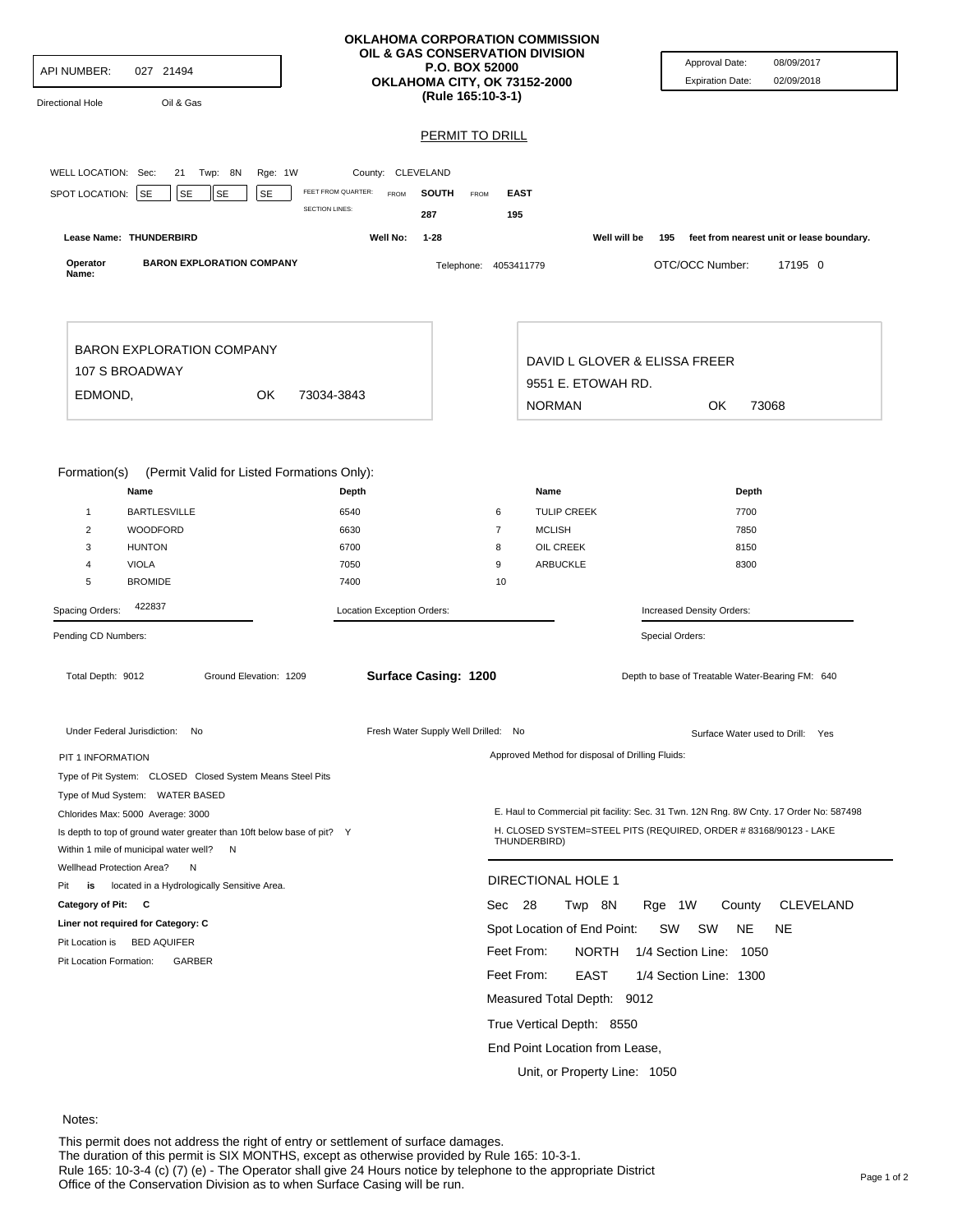| API NUMBER:<br>027 21494<br>Oil & Gas<br>Directional Hole                  |                            | <b>P.O. BOX 52000</b><br>OKLAHOMA CITY, OK 73152-2000<br>(Rule 165:10-3-1) | OKLAHOMA CORPORATION COMMISSION<br>OIL & GAS CONSERVATION DIVISION | Approval Date:<br>08/09/2017<br><b>Expiration Date:</b><br>02/09/2018                  |
|----------------------------------------------------------------------------|----------------------------|----------------------------------------------------------------------------|--------------------------------------------------------------------|----------------------------------------------------------------------------------------|
|                                                                            |                            | <b>PERMIT TO DRILL</b>                                                     |                                                                    |                                                                                        |
|                                                                            |                            |                                                                            |                                                                    |                                                                                        |
| WELL LOCATION: Sec:<br>21<br>Twp: 8N<br>Rge: 1W                            | County: CLEVELAND          |                                                                            |                                                                    |                                                                                        |
| <b>SE</b><br><b>SE</b><br>SPOT LOCATION:<br><b>SE</b><br><b>SE</b>         | FEET FROM QUARTER:<br>FROM | <b>SOUTH</b><br>FROM                                                       | <b>EAST</b>                                                        |                                                                                        |
|                                                                            | <b>SECTION LINES:</b>      | 287                                                                        | 195                                                                |                                                                                        |
| Lease Name: THUNDERBIRD                                                    | Well No:                   | $1 - 28$                                                                   | Well will be                                                       | feet from nearest unit or lease boundary.<br>195                                       |
| <b>BARON EXPLORATION COMPANY</b><br>Operator                               |                            | Telephone: 4053411779                                                      |                                                                    | OTC/OCC Number:<br>17195 0                                                             |
| Name:                                                                      |                            |                                                                            |                                                                    |                                                                                        |
| <b>BARON EXPLORATION COMPANY</b>                                           |                            |                                                                            |                                                                    |                                                                                        |
| 107 S BROADWAY                                                             |                            |                                                                            | DAVID L GLOVER & ELISSA FREER                                      |                                                                                        |
|                                                                            |                            |                                                                            | 9551 E. ETOWAH RD.                                                 |                                                                                        |
| EDMOND,<br>OK                                                              | 73034-3843                 |                                                                            | <b>NORMAN</b>                                                      | OK.<br>73068                                                                           |
|                                                                            |                            |                                                                            |                                                                    |                                                                                        |
| Formation(s)<br>(Permit Valid for Listed Formations Only):<br>Name         | Depth                      |                                                                            | Name                                                               | Depth                                                                                  |
| <b>BARTLESVILLE</b><br>$\mathbf{1}$                                        | 6540                       |                                                                            | <b>TULIP CREEK</b><br>6                                            | 7700                                                                                   |
| $\overline{2}$<br>WOODFORD                                                 | 6630                       |                                                                            | $\overline{7}$<br><b>MCLISH</b>                                    | 7850                                                                                   |
| <b>HUNTON</b><br>3                                                         | 6700                       |                                                                            | OIL CREEK<br>8                                                     | 8150                                                                                   |
| <b>VIOLA</b><br>$\overline{4}$                                             | 7050                       |                                                                            | 9<br>ARBUCKLE                                                      | 8300                                                                                   |
| 5<br><b>BROMIDE</b>                                                        | 7400                       |                                                                            | 10                                                                 |                                                                                        |
| 422837<br>Spacing Orders:                                                  | Location Exception Orders: |                                                                            |                                                                    | Increased Density Orders:                                                              |
| Pending CD Numbers:                                                        |                            |                                                                            |                                                                    | Special Orders:                                                                        |
| Total Depth: 9012<br>Ground Elevation: 1209                                |                            | Surface Casing: 1200                                                       |                                                                    | Depth to base of Treatable Water-Bearing FM: 640                                       |
| Under Federal Jurisdiction: No                                             |                            | Fresh Water Supply Well Drilled: No                                        |                                                                    | Surface Water used to Drill: Yes                                                       |
| PIT 1 INFORMATION                                                          |                            |                                                                            | Approved Method for disposal of Drilling Fluids:                   |                                                                                        |
| Type of Pit System: CLOSED Closed System Means Steel Pits                  |                            |                                                                            |                                                                    |                                                                                        |
| Type of Mud System: WATER BASED                                            |                            |                                                                            |                                                                    |                                                                                        |
| Chlorides Max: 5000 Average: 3000                                          |                            |                                                                            |                                                                    | E. Haul to Commercial pit facility: Sec. 31 Twn. 12N Rng. 8W Cnty. 17 Order No: 587498 |
| Is depth to top of ground water greater than 10ft below base of pit? Y     |                            |                                                                            | THUNDERBIRD)                                                       | H. CLOSED SYSTEM=STEEL PITS (REQUIRED, ORDER # 83168/90123 - LAKE                      |
| Within 1 mile of municipal water well? N<br>Wellhead Protection Area?<br>N |                            |                                                                            |                                                                    |                                                                                        |
| Pit<br>is<br>located in a Hydrologically Sensitive Area.                   |                            |                                                                            | DIRECTIONAL HOLE 1                                                 |                                                                                        |
| Category of Pit: C                                                         |                            |                                                                            | Sec 28<br>Twp 8N                                                   | <b>CLEVELAND</b><br>Rge 1W<br>County                                                   |
| Liner not required for Category: C                                         |                            |                                                                            | Spot Location of End Point:                                        | <b>NE</b><br><b>NE</b><br>SW<br>sw                                                     |
| Pit Location is BED AQUIFER                                                |                            |                                                                            |                                                                    |                                                                                        |
| Pit Location Formation:<br>GARBER                                          |                            |                                                                            | Feet From:<br>NORTH                                                | 1/4 Section Line: 1050                                                                 |
|                                                                            |                            |                                                                            | Feet From:<br>EAST                                                 | 1/4 Section Line: 1300                                                                 |
|                                                                            |                            |                                                                            | Measured Total Depth: 9012                                         |                                                                                        |
|                                                                            |                            |                                                                            | True Vertical Depth: 8550                                          |                                                                                        |
|                                                                            |                            |                                                                            | End Point Location from Lease,                                     |                                                                                        |
|                                                                            |                            |                                                                            |                                                                    |                                                                                        |
|                                                                            |                            |                                                                            | Unit, or Property Line: 1050                                       |                                                                                        |

## Notes:

This permit does not address the right of entry or settlement of surface damages. The duration of this permit is SIX MONTHS, except as otherwise provided by Rule 165: 10-3-1. Rule 165: 10-3-4 (c) (7) (e) - The Operator shall give 24 Hours notice by telephone to the appropriate District<br>Office of the Conservation Division as to when Surface Casing will be run.